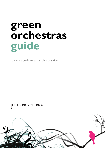# **green orchestras guide**

a simple guide to sustainable practices

# **ULIE'S BICYCLE**

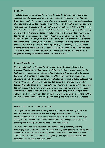#### *BARBICAN*

*A popular orchestral venue and the home of the LSO, the Barbican has already made significant steps to reduce its emissions. These include the introduction of the 'Barbican Green Committee', which is raising internal awareness about the environmental implications of its operations. So far, the Barbican has sourced 55% of electrical energy contracts from renewable/green contracts, which has resulted in an annual CO2 reduction of 315 tonnes (pa), as well as successfully achieving a 30% reduction in Air Handling Units' (AHU) sizing and energy by redesigning the Hall's ventilation system. It doesn't end there however, as the Barbican is also sourcing its heating and cooling for the centre from a high efficiency Combined Heat & Power system, equating to a saving of 2,700 tonnes in CO<sub>2</sub> emissions (pa) compared to the old system. They don't shy away from recycling either, and to date, they have and continue to recycle everything from paper to mobile phones, fluorescent tubes to batteries, computers to toner cartridges. Barbara Crabb, Head of Facilities, adds "we have recently won Clean City Platinum Award for the year of 2009 and are on a programme working towards both BS8901 and the ISO14001".*

#### *ST GEORGES BRISTOL*

*On the smaller scale, St Georges Bristol are also working to reducing their carbon emissions. Whilst they have been using recycled paper for their internal printing for the past couple of years, they have started shifting professional print materials onto recycled paper, as well as collecting all used paper and old publicity leaflets for recycling. Bar operations have also been considered, and local suppliers are used, including Bath Ales and Avery's Wines, while all bottles are recycled. Bicycle racks are provided and Director Suzanne Rolt notes that the venue are looking into how this may be extended – several of the staff already cycle to work. Energy monitoring is also underway, with Suzanne saying herself that she does "a walk around of the building first thing every morning to ensure nothing is on that shouldn't be!" Staff are alert to energy consumption around the building, and are constantly reminded to turn off lights, heating and more when it is not needed.* 

#### *ROYAL SCOTTISH NATIONAL ORCHESTRA*

*The Royal Scottish National Orchestra (RSNO) is one of the first arts organisations in the UK to secure a sponsorship deal with a large transport operator – ScotRail. ScotRail provides free train travel across Scotland for the RSNO's musicians and staff, sending a great message to the RSNO audience and encouraging audiences to select greener forms of transport when travelling to and from concerts.*

*The RSNO has other green polices in place alongside the sponsorship, including encouraging staff and musicians to walk where possible, and suggesting car pooling and car sharing where travel by car is necessary. Simon Woods, RSNO Chief Executive, notes: "the key issue that we face in order to significantly reduce greenhouse gas emissions associated with touring, is musician's travel".*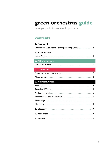# **green orchestras guide**

a simple guide to sustainable practices

# **contents**

| I. Foreword                                                                                             |
|---------------------------------------------------------------------------------------------------------|
| Orchestras Sustainable Touring Steering Group 2                                                         |
| 2. Introduction                                                                                         |
|                                                                                                         |
| 3. Where to start                                                                                       |
| Where do I start? $\ldots$ , $\ldots$ , $\ldots$ , $\ldots$ , $\ldots$ , $\ldots$ , $\ldots$ , $\ldots$ |
| 4. Leadership                                                                                           |
|                                                                                                         |
|                                                                                                         |
| <b>5. Practical Actions</b>                                                                             |
|                                                                                                         |
|                                                                                                         |
|                                                                                                         |
|                                                                                                         |
|                                                                                                         |
|                                                                                                         |
|                                                                                                         |
|                                                                                                         |
|                                                                                                         |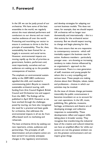# **1. Foreword**

In the UK we can be justly proud of our orchestras. We have some of the best ensembles in the world, we regularly attract the most talented performers and conductors to our shores and our music reaches audiences all over the world. Protecting and nourishing our sector to ensure it continues to thrive is the first principle of sustainability. Thus far, then, sustainability has been framed for us largely in economic and social terms. However, environmental impacts are moving rapidly up the list of priorities as government, funders, performers and, most importantly, ourselves and our audiences are waking up to the possible consequences of inaction.

The emphasis on environmental sustainability at the 2009 ABO conference signalled this shift, and resulted in commissioning Julie's Bicycle to research sustainable orchestral touring, with funding from Arts Council England, British Council and Orchestras Live and support from the ABO. The findings will be published in April 2010. However as we have worked through the challenges posed by touring, we have also recognised the need for a practical and basic guide for orchestras, that addresses the environmental impacts in all we do: from office-based work to marketing and rehearsals.

The best orchestras thrive by seeking out new repertoire, artists, audiences and partnerships. The principles of selfdetermination and pre-emptive action are best served if we actively anticipate changes in the regulatory environment,

and develop strategies for adapting our current business models. This does not mean, for example, that we should expect UK orchestras will no longer tour domestically and internationally – this is a vital activity for the orchestral sector economy. But we should expect touring to change and begin planning for this.

We must ensure that we are responsive to contemporary concerns - which will inevitably support the business case for action. Audience members - particularly younger ones - are showing an increasing tendency to make choices influenced by an organisation's approach to the environment. There is a new generation of staff, musicians and young people for whom this is a very compelling and serious issue. These people are making choices about their lifestyles, values, tastes and professions - choices in which our activities may be invoked.

As the issue of climate change permeates inexorably the public consciousness it becomes incumbent on us to account for our own operations. In the UK, music, publishing, film, galleries, museums, heritage, architecture and theatre are all developing strategic and collective responses to sustainability. These developments reflect and support shifts taking place in broader society. They recognise that transforming the industrial base of the creative and cultural industries can have an amplified effect: for while our sectors are not the greatest emitters we are the greatest communicators and can inspire great things.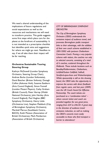We need a shared understanding of the implications of future regulations and social expectations as well as the resources and mechanisms we will need to transform practice. This guide suggests some first steps which place care for the planet at the forefront of sustainability. It is not intended as a prescriptive checklist but identifies quick wins and suggestions for where we might go next. Needless to say, if we all take them their impact will be far reaching.

#### **Orchestras Sustainable Touring Steering Group**

Kathryn McDowell (London Symphony Orchestra, Steering Group Chair), Andrew Burke (London Sinfonietta), David Butcher (Britten Sinfonia), Donagh Collins (Askonas Holt), Susanna Eastburn (Arts Council England), Simon Funnell (London Mozart Players), Cathy Graham (British Council), Peter Harrap (Welsh National Orchestra), John Hartley (Arts Council England), Paul Hughes (BBC Symphony Orchestra), Henry Little (Orchestras Live), Stephen Maddock (City of Birmingham Symphony Orchestra), Marshall Marcus (Southbank Centre, BACH), Keith Motson (Association of British Orchestras), Mark Pemberton (Association of British Orchestras)

#### *CITY OF BIRMINGHAM SYMPHONY ORCHESTRA*

*The City of Birmingham Symphony Orchestra (CBSO) understands the emissions impact of audience travel, and promotes Birmingham public transport links to their advantage, with the addition of their own coach scheme established in 2001/2002 with partners Cheltenham Connection Coach. Proving a very popular scheme with visitors, the coaches run only to selected concerts, consisting of a total of 6 coaches, scattered throughout the Midlands. These include locations such as Bewdley/Kidderminster, Cheltenham, Lichfield/Sutton Coldfield, Solihull, Stratford-upon-Avon and Wolverhampton. Whilst sponsorship is still on the drawing board, the CBSO take the opportunity to improve the service with direct feedback from regular users, and last year (2009) won the UK Coach Award for Effective Partnership. The coach tickets are purchased as a 'combination ticket' – where concert ticket and coach are provided together for one great price, ranging from £24 to £46.50. A great step in the direction of audience travel emissions reduction, as well as making the CBSO's concerts more easily accessible to those who find transport a barrier to attendance!*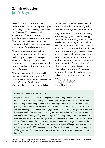# **2. Introduction**

Julie's Bicycle

Julie's Bicycle first considered the UK orchestral sector's climate impacts as part of *First Step: UK Music Industry Greenhouse Gas Emissions 20071* , research which scoped the UK music industry's greenhouse gas emissions over a full year. This report studied emissions across a creative supply chain and set the baseline and priorities for carbon reductions.

The orchestral sector has much in common with other music, theatre and performing arts in general: managing venues and office spaces, producing, touring, and recording performances and products, and attracting large audiences to live performances.

This introductory guide to sustainable practice provides a starting point for all those involved in the making, management and performing of orchestras. Understanding and taking responsibility

for our own climate and environmental impacts is already a requisite of good governance, management and operations.

Many of the ideas in this plan - switching to low energy lighting, reducing energy consumption, substituting train for plane travel - can save money and will reduce emissions substantially. But the orchestral sector can do more even than that. As the impacts that our everyday decisions have on our climate are better understood we must continue to adjust and shape our work so that environmental consequences are accounted for. The excellence of the UK's orchestras already inspires music lovers all over the world. Perhaps our orchestras, by example, might also inspire audiences to care for the planet in new

ways! Alison Tickell

#### *LONDON SYMPHONY ORCHESTRA*

*Longer lead times for orchestral touring can enable more efficiencies and GHG emissions reductions. The LSO tour planning team works up to 3-4 years in advance. This provides the LSO ample opportunity to book efficient and appropriate transport for their itinerary (although certain key train transporters such as Eurostar do not currently allow for such advance bookings). Two recent tours to Japan were an opportunity to explore this, and the LSO spent much of its time in Japan taking the train – described as "comfortable and relaxing" rather "than spending hours in airports". Choosing train journeys over flights cut their emissions drastically, and the high speed train network in Japan made this the obvious choice. Closer to home, the orchestra has started to increase its usage of train networks in the EU, mostly in Spain, Italy, France and the Benelux region. Although train networks are still being improved, LSO's managing director, Kathryn McDowell notes that once they are, it'll be great news for the orchestra, and will "really help us to travel around continental Europe."*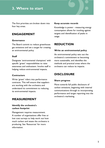# **3. Where to start**

The first priorities are broken down into four key areas.

# **ENGAGEMENT**

#### **Governance**

The Board commit to reduce greenhouse gas emissions and set a target for creating an environmental policy

#### **Staff**

Designate 'environmental champions' with specific 'green' responsibilities to raise awareness and enthusiasm. Involve staff in helping reduce environmental impacts.

#### **Contractors**

Write 'green' riders into performance contracts. This will ensure that suppliers are working with the orchestra and understand its commitment to reducing its environmental impacts.

# **MEASUREMENT**

#### **Identify the orchestra's carbon footprint**

Management requires measurement. A number of organisations offer free or low cost surveys to help work out how much carbon and waste the orchestra is producing. See 'Resources' for more information.

#### **Keep accurate records**

Knowledge is power - measuring energy consumption allows for tracking against targets and identification of peaks in usage.

# **REDUCTION**

#### **Write an environmental policy**

An environmental policy sets out the orchestra's commitment to becoming more sustainable, and identifies the methods and practical areas where the orchestra can reduce its impacts.

# **DISCLOSURE**

#### **Share progress**

Move towards full public disclosure of carbon emissions, beginning with internal communications through to incorporating performance and target reporting into the orchestra's marketing.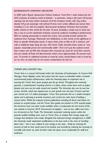#### *BOURNEMOUTH SYMPHONY ORCHESTRA*

*In 2009, Julie's Bicycle released Jam Packed: Audience Travel Part I, which looked into the GHG emissions of audience travel to festivals – in particular, noting a full coach (50 person capacity) has the least carbon emissions of all the transport modes, with 22g carbon dioxide (CO2) per passenger mile (almost 8 times more carbon efficient per person than travelling in a car with two people!). Bournemouth Symphony Orchestra have provided public coaches to their events for the past 10 years, providing a simple way to travel, but also a way to cut the substantial emissions caused by audiences travelling to performances. BSO are seeking sponsorship to extend the service, and currently provide coaches for audiences from Swanage, Weymouth and Shaftesbury, to their events at the Lighthouse in Poole on specific Wednesday events. A return ticket costs as little as £6 in advance, and calls at additional stops along the way. CEO Simon Taylor describes these routes as "very popular, reasonably priced and commercially viable". And it isn't just the audience travel that is taken care of, BSO also transport their musicians by coach for all of their concerts that are outside of Poole and Bournemouth, which covers approximately 70 concerts each year. To provide an additional incentive to travel by coach, should players wish to travel by car (or even car pool) they do not receive compensation for fuel use.* 

#### *TURNER SIMS CONCERT HALL*

*Turner Sims is a concert hall located within the University of Southampton. As Concert Hall Manager, Kevin Appleby, notes, this means that the venue is embedded within a broader environmental project infrastructure, while the University plays an important role in ensuring the Turner Sims' green projects get the go ahead. Throughout the university grounds, a comprehensive recycling scheme is in place, where waste items such as paper, plastics and cans can be easily reused and recycled. The University also runs its own bus service, Uni-link, which has enjoyed year on year growth over the past 10 years and last year carried over 3.5 million passengers. Turner Sims promotes this as a simple transport option and is planning to provide incentives such as free bus rides home if holding a concert ticket. Whilst the majority of print publications including all direct mail letters are printed on recycled paper, and the Turner Sims guides are printed on 55% recycled paper, the brochures have now been made available online, in preparation for the launch of the new website in Summer 2010. Procurement of supplies – such as tea, coffee and more – are all sourced as Fair Trade. The University's automatic metering system within the grounds enables building users, such as Turner Sims, to analyse their energy usage and manage their footprint more easily. Alongside this improved energy management, in 2009 the University made substantial modifications to the duct work in the main air handling plant room – this in turn, helped to save energy in two ways – firstly by reducing the amount of cold air that would need to be heated, and secondly by reducing the necessity to humidify cold winter air, both of which make the space more comfortable for staff and audiences.*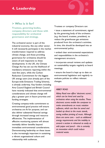# **4. Leadership**

#### **> Who is it for?**

**Trustees, governing bodies, company directors and those with responsibility for orchestral governance and strategy.**

The orchestral sector is part of the industrial economy, like any other sector. It will necessarily participate in the market transformation required to address climate change, and those providing governance for orchestras should be aware of and responsive to these developments. In the UK, the Climate Change Act has set out the likelihood of mandatory emissions reporting within the next few years, while the Carbon Reduction Commitment for the biggest UK energy users (not already part of the Europe-wide Emissions Trading Scheme), is already underway. Key funders including Arts Council England and British Council have recently indicated that environmental considerations and climate change will play a greater part in future priorities and funding strategies.

Creating company-wide commitment to environmental good practice will ensure orchestras are fit for purpose, and can also deliver substantial financial savings through increased energy and resource efficiencies. The implementation of effective monitoring systems will almost inevitably deliver benefits beyond immediate environmental considerations. Demonstrating leadership on these issues is also increasingly important in sustaining a vibrant organisational culture and relationship with audiences.

Trustees or company Directors can:

• issue a statement of commitment, signed by the governing body of the orchestra (e.g. the board, trustees, president), to reduce the greenhouse gas emissions produced from the orchestra's activities. In time, this should be developed into an environmental policy;

• embed clear environmental expectations and responsibilities in the orchestra's management structure;

• incorporate annual reviews and updates on sustainability targets regularly at board meetings;

• ensure the board is kept up to date on environmental legislation and regularly reevaluate policies to reflect relevant changes.

#### *ABBEY ROAD*

*Abbey Road now offers 'electronic scores', which can be hired and used by orchestras when using the studios. These electronic scores enable the composer to make amendments on music notation software, which can then be saved and loaded up direct to the music stands, saving endless printing of music. Although there are some cons – such as additional energy requirements and the inability to amend a section in rehearsal as easily as with paper and pencil – this is certainly an innovation which could reduce material waste.*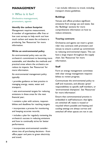# **MANAGEMENT**

## **> Who is it for?**

**Orchestra management, promoters, agents**

#### **Identify the carbon footprint**

Management requires measurement. A number of organisations offer free or low cost surveys to help work out how much carbon and waste the orchestra is producing. See 'Resources' for more information.

#### **Write an environmental policy**

An environmental policy sets out the orchestra's commitment to becoming more sustainable, and identifies the methods and practical areas where the orchestra can reduce its impacts. See 'Resources' for more information.

An environmental management policy typically:

• provides guidance on best practice in managing energy, waste, water and transport;

• sets environmental targets for reducing emissions in these areas for the next financial year;

• contains a plan with actions, responsibilities and deadlines for reaching targets;

• incorporates a process for monitoring and keeping accurate records;

• includes a plan for regularly reviewing the orchestra's success in reducing emissions and how to continually strive for better performance;

• incorporates environmental considerations into all purchasing decisions - from office paper and pens to green electricity and travel;

• can include reference to travel, including transport choice guidelines.

#### **Buildings**

Venues and offices produce significant emissions from energy use and waste. See the 'Buildings' sections for more comprehensive information on how to reduce emissions.

#### **Touring contracts**

Orchestras and agents can insert a green rider into contracts with promoters and venues to ensure a joined up commitment to reducing environmental impact. This can have a large impact throughout the supply chain. See 'Resources' for more information.

#### **Staff**

Form an energy management committee with clear energy management responsibilities to review progress.

Communicate the environmental policy to staff and musicians, and allocate 'green' responsibilities to specific staff members, or 'environmental champions'. See 'Resources' for more information'.

Ensure that commonsensical practice is embedded in staff behaviours: that lights are switched off, waste is reused or recycled where possible and heating and cooling settings are always correct and switched off when spaces are not in use.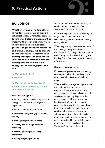# **BUILDINGS**

**Whether owning or renting offices, in residence at a venue or renting rehearsal space, Orchestras can seek to influence building management to improve its energy efficiency, which in turn could achieve significant greenhouse gas emissions reductions and financial savings. While capacity to influence capital investment and building management decisions will vary, day to day practice within the building also have an effect on energy use, so staff engagement is key.**

**> Who is it for? Everyone** 

**> What does it include? Venues, offices, recording studios and rehearsal spaces.**

#### **Measure energy use**

An energy audit will provide a picture of energy use and how to manage and improve it.

An energy audit typically includes:

• measuring energy use (e.g. electricity, gas, oil);

• locating draughts and air leaks;

• checking the building's insulation is adequate;

• inspecting heating and cooling equipment;

Audits can be implemented internally or conducted by a professional. See 'Resources' for more information.

Create an implementation plan setting out targets and a schedule for action to reduce energy use and increase building energy efficiency.

When negotiating a new lease be aware of the buildings Energy Performance Certificate (EPC) rating and use this as an opportunity to ask landlords to upgrade building fabric. See 'Resources' for more information.

#### **Keep accurate records**

Knowledge is power - measuring energy consumption allows for tracking against targets and identification of peaks in usage.

Where building management systems are installed, use these to record plant operation. Identifying when and why energy usage is high can indicate areas for significant savings (e.g. high recorded energy usage could be as a result of heating/cooling/ventilation operating continuously or outside necessary hours). Monitoring also helps ensure heating, cooling and ventilation systems are suitably sized. Regularly service/maintain monitoring equipment to ensure accurate data monitoring. Online tools for energy monitoring are also available. See 'Resources' for more information.

• looking at lighting and bulbs.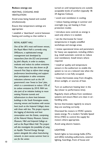#### **Reduce energy use**

#### HEATING, COOLING AND **VENTILATION**

Avoid areas being heated and cooled simultaneously.

Ensure that temperature settings are appropriate:

• establish a 'dead-band' control between heating and cooling so that neither is

#### *ROYAL ALBERT HALL*

*One of the UK's most well known venues, the Royal Albert Hall is currently using SMEasure, a sophisticated energy management tool developed by researchers from the ECI and promoted by Julie's Bicycle, in order to analyse, evaluate and reduce its carbon emissions. The unique venue has also drawn on JB research First Step to inform their energy performance benchmarking and support their participation in other emissions reductions schemes such as the UK government's new 'Invest to Save' plan, which is a commitment to reduce 10% of its carbon emissions by 2010. RAH are also part of an initiative looking to reuse existing Victorian tunnels and infrastructure to share heat between buildings in the South Kensington estate, ensuring venues and locations with excess heat (such as the Imperial College) share with those with less. This project requires the logging of electricity and heat consumption over the Estate, comprising of the Natural History Museum, Science Museum, V&A and Imperial College as well as the Royal Albert Hall. The project will also investigate the possibility of using an Aquifer Thermal Energy Storage system alongside the urban heat-sharing network, to store excess summer heat to use for the winter.* 

turned on until temperatures are outside acceptable levels of comfort (typically 18- 24 degrees Celsius);

• avoid over-ventilation in cooling;

• reduce heating settings in summer and overnight (e.g. set heating in frost protection mode);

• introduce zone controls so energy is used only where it is needed;

• set the thermostat for lower temperatures in largely unstaffed workshops and storage areas;

• review operational times and parameters for heavy use equipment, including chillers (e.g. install automatic controls to reduce over-ventilation). Install timers where required.

• install air quality and temperature sensors in the auditorium to enable the system to run at a reduced rate when the auditorium is not fully occupied;

• locate thermostats away from draughts, direct sunlight, or sources of heat.

Turn on auditorium heating later in the day (closer to performance time).

Regularly check airflows from ventilation systems and ensure filters are clean in airhandling units.

Service thermostats regularly to ensure they are working correctly.

Oversized fan motors in HVAC systems waste energy. Fit a modern Variable Speed Drive (VSD) to control the supply fan motors where appropriate.

Avoid using electric heaters.

#### **LIGHTING**

Switch lights to low-energy bulbs (CFLs and LEDs) including auditoriums, exterior lighting, hoardings, front of house and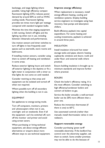backstage, and stage lighting where possible. Using high efficiency compact fluorescent lighting (CFL) reduces power demand by around 60% as well as HVAC cooling needs. Fluorescent lighting provides ten times more light per wattage compared with standard tungsten bulbs.

Minimise the time that staging equipment is left running. Switch off lights and the lighting rig when not in use, including between rehearsals and performances.

Use motion sensors and timer switches to turn off lights in less frequently used spaces such as stairwells, store rooms and bathrooms.

If installing motion sensors, consider using them to switch off heating and ventilation in some areas.

Reduce exterior lighting hours and switch off exterior lighting in the daytime or fit a light meter in conjunction with a timer so that lights do not come on until needed.

Consider rewiring so that areas and equipment can be isolated and turned off when not required.

Where possible turn off all secondary lighting when the building is not in use.

#### EQUIPMENT

Set appliances to energy-saving mode.

Turn off computers, monitors, printers and photocopiers when not in use, overnight and on weekends. Even if all the equipment can't be switched off, turn off the monitor and printer and avoid using screen savers.

When purchasing or hiring technical equipment, ask about energy-efficient alternatives or enquire about more efficient ways to use technical equipment.

#### **Improve energy efficiency**

When replacement is necessary, install energy-efficient heating, cooling and ventilation systems. Employ building service engineers to investigate using heat recovery, heat pumps and absorption chillers.

Build efficiency payback into capital expenditure. For some heating and cooling investments, payback is achieved in around three years.

#### INSULATION

Install insulation in/around hot water storage tanks and pipes; electric heating cupboards; windows and doors; roofs and under floor; and external walls where practical.

Ensure building insulation is brought up to minimum standards and improve further where practical.

#### BOILERS

Check the boiler's efficiency rating. A is the most efficient. Consider switching to high efficiency/condenser boilers and convert oil boilers to gas.

Service the boiler annually: a well-serviced boiler can be 20% more efficient than a poor one.

Reduce the immersion thermostat (if there is one) to 60°C.

Use automated controls (rather than manual); install thermostatic valves in wet radiators.

#### **Support renewable energy**

Consider purchasing 'green tariff' renewable electricity. If the landlord has control over the electricity supplier, ask them to switch. Some smaller premises may not be able to do this because of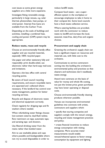cost issues as some green energy suppliers are a little more expensive.

Investigate fitting renewable energy, particularly in large venues, e.g. solar thermal, photovoltaic, heat pumps, or wind power. Interest free loans are available from the Carbon Trust.

Depending on the scale of buildings and activities, installing a combined heat, cooling and power (CHP) system may be appropriate.

#### **Reduce waste, reuse and recycle**

Choose an environmentally friendly office supplier and use recycled materials, especially 100% recycled paper.

Use paper and other stationery fully and responsibly: print double-sided, use electronic rather than hard-copy mail-outs and invitations.

Operate a bin-less office with central recycling points.

Be aware of local council recycling requirements, and ensure recyclable items are separated and collected where necessary. If the landlord has control over waste management, petition for better recycling services.

Recycle and dispose of electronic waste and electrical equipment correctly.

Check regularly for dripping taps and fit washers where needed.

When refurbishing water fittings choose: low-content cisterns; dual-flush toilets; flow restrictors on taps; automatic taps; and aerating taps and showers.

Use filtered drinking water from the mains rather than bottled water.

Aim to use washable plates and cups where possible and biodegradable where not: try to avoid disposables in order to

reduce landfill waste.

Compost food waste - use a superefficient system in the workplace or encourage employees to take it home to their compost bin. Some local councils have a food waste collection service.

Where catering facilities are provided, work with the contractor to reduce waste to landfill and increase the local, seasonal, meat-free, dairy-free and organic choices.

#### **Procurement and supply chain**

Greening the orchestra's supply chain can have a significant impact on resources and materials use, with little cost to the orchestra.

Communicate to service contractors coming into the building the orchestra's environmental policy and practices so that cleaners and technicians don't needlessly waste energy.

Award new contracts on the basis of value for money and whole life costing, not just the lowest price; green purchases may have lower operating or disposal costs.

Choose environmentally friendly cleaning products wherever possible.

Venues can incorporate environmental guidelines into contracts with artists, contractors and suppliers which:

• specify that touring companies and suppliers comply with the venue's energy, recycling and waste management practices and policy;

• create financial incentives to reduce energy consumption with visiting companies. More accurate meter measurements would enable venues/rehearsal spaces to factor energy consumption by equipment and lighting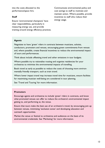into the costs allocated to the performance/space hire.

#### **Staff**

Ensure 'environmental champions' have clear responsibilities, particularly in measuring energy use, and provide training around energy efficiency practices. Communicate environmental policy and cost savings to staff to motivate and maintain action. Where possible, provide incentives to staff who reduce their energy usage.

#### **Agents**

Negotiate to have 'green' riders in contracts between musicians, soloists, conductors, promoters and venues, encouraging green commitments from venues and, where possible, create financial incentives to reduce the environmental impact of tours and performances.

Think about include offsetting travel and other emissions in tour budgets.

Where possible try to rationalise routing and organise residencies for your orchestras to minimise the environmental impacts of travelling.

Book travel as early as possible to reduce the costs of choosing more environmentally friendly transport, such as train travel.

Where lower impact travel may increase travel time for musicians, ensure facilities for maximising musician well-being are considered in tour planning.

See 'Travel and Touring' for more information.

#### **Promoters**

Encourage agents and orchestras to include 'green' riders in contracts, and know what promoted venues can offer to reduce the orchestra's environmental impact getting to, and performing at, the venue.

Ensure that tours make the best use of an orchestra's travel, by encouraging join up between venues, minimising 'exclusion zones' and developing education and outreach opportunities.

Market the venue or festival to orchestras and audiences on the basis of its environmental credentials. See 'Marketing' for more information.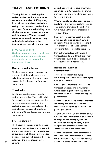# **TRAVEL AND TOURING**

**Touring is key to reaching the widest audiences, but can also be emissions intensive. Shifting away from air travel delivers emissions savings, but current train booking practices, fares and scheduling pose challenges for orchestras who plan well in advance. The orchestral sector may benefit from working collectively to influence the transport providers in these areas.**

#### **> Who is it for?**

**Orchestra management, musicians, soloists, conductors, agents, and everyone involved in planning touring and travel**

#### **Measure travel behaviour**

The best place to start is to carry out a travel audit of the orchestra's travel behaviour to identify where the greatest impacts lie. See 'Resources' for more information.

#### **Travel policy**

Build travel considerations into the environmental policy. This could include, for example, a commitment to use the lowest-emission transport for the orchestra, conductor and soloists when cost effective (e.g. ground travel only within the UK). See 'Resources' for more information.

#### **Pre tour planning**

Think about minimising greenhouse gas emissions from musician and instrument travel when planning tours. Evaluate the carbon savings of different travel modes alongside musician well-being and cost to determine the most efficient travel options. 14 or use low emission taxi companies.

A quick opportunity to save greenhouse gas emissions is to rationalise air travel: planning could allow switching from planes to inter-city trains.

Where possible, develop opportunities for residencies and multiple performances in one locale to showcase the orchestra while reducing the travel impacts and duplicate trips.

Book travel as early as possible to take advantage of public transport early bird and group travel discounts, increasing the cost effectiveness of choosing more environmentally responsible transport.

Plan instrument shipping by ground transportation to avoid freighting by air. Where feasible, such as for percussion, use locally sourced instruments.

#### **Reduce the impact of necessary travel**

Travel by rail rather than flying, substituting domestic and European flights with train journeys.

Choose public transport or coaches to transport musicians and instruments where possible, particularly in place of individual car travel for local and regional performances.

Where car travel is unavoidable, promote car sharing and offer transport for instruments to maximise the number of people per vehicle.

A quick win for energy and carbon saving, which is often undervalued in transport, is to adopt an eco-driving style and to improve staff driving efficiency in both company and personal vehicles. See 'Resources' for more information.

Where possible for urban concerts and rehearsals, use public transport for local travel. If unavoidable, ensure car-pooling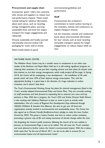#### **Procurement and supply chain**

Incorporate 'green' riders into contracts with venues and suppliers to reduce tour and performance impacts. These could include asking for advance information about each venue, such as recycling, energy management plans, sourcing sustainable food, and local low impact transport for longer engagements and rehearsals.

Choose sustainably and locally sourced merchandise and low-carbon CD packaging for music sold at events.

Select hotels based on good

environmental guidelines and performance.

#### **Staff**

Communicate the orchestra's commitment to lower-carbon touring to the musicians, soloists and conductors, to explain transport choices.

Let the musicians, soloists and conductors know about environmental information for tour venues, such as local recycling and public transport options for longer engagements, to reduce impact while on tour.

#### *WILTSHIRE MUSIC CENTRE*

*The Wiltshire Music Centre may be a smaller venue in comparison to our other case studies of the Barbican and Royal Albert Hall, but it is still making significant progress on reducing their emissions. It's not just their recycling scheme and their plans for bicycle racks that interest us, but their energy management, which really jumped off the page. In Spring 2010, the Centre will be undergoing a new development – the installation of 96 solar panels which will cover 50% of their daytime energy consumption. This, with the appropriate funding, is a giant leap in the direction of a huge reduction in carbon emissions, and it doesn't stop there.*

*The Trust's Environmental Working Group has plans for internal management (listed in the Trust's recently adopted Environmental Policy and Action Plan). They are currently working on staff awareness and look forward to expanding this to external core users and key partners in May. With this in progress, the Trust's CEO and Artistic Director Keith Nimmo is also working with Salisbury Playhouse to plan an event in June to include wider stakeholders. One of a series of Regional Arts Development Days delivered through W&SAA (Wiltshire & Swindon Arts Alliance), this aims to get over 20 local arts organisations actively involved in environmental and sustainability issues. The Centre has also signed up to Climate Friendly Bradford-on-Avon's pledge to make the town Carbon Neutral by 2050. This group is Lottery Funded, and aims to reduce carbon emissions, promoting a greener way of life and raising awareness of climate change within the area.*

*Not forgetting the Centre's public presence, following the launch of its new website in January, an Environmental Page is soon to be added. This will cover the Trust's activities and work planned to further reduce the Centre's environmental impact. With this in place, Keith notes that "by the end of March 2011, we aim to be able to account for our environmental impact and all improvements made".*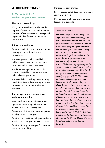# **AUDIENCE TRAVEL**

#### **> Who is it for? Orchestras, promoters, venues**

#### **Measure current impact**

Carry out a travel audit to identify the impacts of audience travel and prioritise the most effective actions to manage and improve it. See 'Resources' for more information.

#### **Inform the audience**

Provide travel information at the point of booking and with the ticket and programme:

• provide greater visibility and links to public transport options on the venue, promoter and orchestra websites;

• make service updates about public transport available at the performance to help audiences get home;

• provide links to walking maps, walking buddy initiatives and car sharing schemes on venue, promoter and orchestra websites.

#### **Encourage public transport use, walking and cycling**

Work with local authorities and travel operators to ensure public transport services work for concertgoers.

Secure special ticket discounts for people arriving via public transport.

Provide coach facilities and agree deals for special coach transport services to events.

Provide "ticket plus transport" options at the point of booking.

Increase car park charges.

Secure special ticket discounts for people arriving on bicycle.

Provide secure bike storage at venues, festivals and concerts.

#### *SAGE GATESHEAD*

*On celebrating their 5th Birthday, The Sage Gateshead released some figures which were collected over their first five years – in which time they have reduced their carbon footprint significantly with electrical and gas consumption already reduced by 25.61% and 28% respectively. Sage Gateshead have also taken further steps to become an environmentally responsible and sustainable business, by signing up to the 10:10 commitment which aims to reduce their carbon emissions by 10% in 2010. Alongside this commitment, they are actively engaged with BS 8901, and all projects including energy usage and impact are closely monitored by their Green Team, dedicated to reducing the venue's environmental footprint any way possible. One of the newer, innovative projects they are starting is to discourage visiting artists consuming endless new bottles of water instead of accepting tap water, as well as installing electric vehicle charging points outside the venue. All of these issues are high priority to the Board, and with their Chair Lord Puttnam, who led for the Government in the House of Lords on the Climate Change Bill, Sage Gateshead looks to show the way forward.*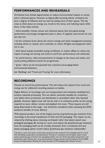# **PERFORMANCES AND REHEARSALS**

Orchestras have limited opportunities to reduce environmental impacts at venues and in rehearsal spaces. However as high-profile incoming clients, orchestras do have a degree of influence and can start by asking more of their spaces. The key areas to think about are energy use, travel to the venue, and reducing waste while there. A few ideas include:

• where possible, choose venues and rehearsal spaces that have good energy performance and energy management plans in place. If regularly used venues do not, ask why not;

• let the orchestra know about the venue's energy and waste management practices, including where to recycle, and a reminder to switch off lights and equipment when not in use;

• think about buying renewable energy certificates or carbon offsets to reduce the impact of energy use during, and travel to and from, performances and rehearsals;

• for performances, make announcements of changes at the venue and online, and avoid printing additional inserts for programmes;

• 'green' riders can be incorporated into contracts encouraging better environmental behaviour.

See 'Buildings' and 'Travel and Touring' for more information.

# **RECORDINGS**

Choose to record live performances. This will reduce the impacts from travel and energy use for additional recording sessions at studios.

Digital delivery of recordings cuts out transportation and emissions resulting from product materials processing. This can deliver particular benefits for orchestras' own labels where production and distribution is centralised rather than licensed globally. However digital music still carries with it an emissions profile via the energy required to store, deliver, stream and playback the music. These impacts are still being determined at this stage – but should be considered when assessing the GHG emissions benefits of music delivery.

With physical product, one of the largest sources of greenhouse gas emissions from recordings is the actual manufacture of CDs and CD packaging. This impact can be reduced by thinking about choosing card-based rather than plastic (jewel casepackaged) packaging. By moving to a pure card option the greenhouse gas emissions from the packaging itself can be virtually elminated. Even a combined card and plastic packaging option would reduce greenhouse gas emissions substantially.<sup>2</sup>

<sup>2</sup> Moving to a pure card option would reduce greenhouse gas emissions from packaging itself by around 95% (excluding transportation and distribution). Moving to a combined card and plastic option would reduce greenhouse gas emissions from packaging itself by over two thirds (excluding transportation and distribution). Julie's Bicycle (ed.), Arup, Environmental Change Institute and Purchasing for Profit (2009). *Impacts and Opportunities: Reducing the Carbon Emissions of CD Packaging*. Julie's Bicycle, London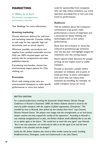# **MARKETING**

**> Who is it for? Orchestra management, promoters, venues.**

\*See 'Buildings' for more information.

#### **Greening marketing**

Choose electronic delivery for mail-outs and marketing materials. Consider shifting to soft copy for key, typically 'high run' documents, such as annual reports.

Wherever possible, use products and supplies from certified sustainable sources. Only use 100% recycled paper and low toxicity inks for programmes and other published material.

If producing merchandise, choose low environmental impact options for CDs, clothing, etc.

#### **Promotion**

Work with visiting artists who are environmental champions to make specific performances or tours low carbon.

Look for sponsorship from companies who can help reduce emissions, e.g. travel operators providing free or low cost train travel to performances.

#### **Audiences**

Tell the audience about the orchestra's commitment to go green: make performances a source of inspiration and a showcase for better thinking and technologies such as low carbon performances.

Show how the orchestra or venue has reduced its greenhouse gas emissions over the last year, and highlight targets for reductions over the coming season.

Secure special ticket discounts for people arriving via low impact travel or public transport.

Provide or promote a simple carbon calculator on websites, and at point of ticket purchase, to show concertgoers how much they can reduce their emissions by travelling, for example, via public transport versus car travel.

#### *BRITTEN SINFONIA*

*For a special performance marking the fourteenth United Nations Climate Change Conference in Poznañ in December 2008, the Britten Sinfonia elected to travel to the event by public transport, with the support of global organisation, Greenpeace. "We travelled by train to Brussels, then picked up two coaches from there" says Concerts Director Hannah Donat, "the players were happy with the arrangements, as we had luxury sleeper coaches and they enjoyed the novelty of the experience". According to Hannah it was relatively straight-forward to plan, and Britten Sinfonia would definitely like to use this as an option again in the future. "We would love to travel this way again" says Hannah, "but it was very expensive...we would only be able to do this again if we had the time available in the schedule and the budget!"*

*Inside the UK, Britten Sinfonia also travel to their smaller events by coach, including Bradford-on-Avon, Dartington, Leeds and Cockermouth in the Lake District.*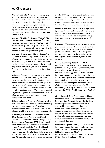# **6. Glossary**

**Carbon Dioxide**. A naturally occurring gas, and a by-product of burning fossil fuels and biomass, as well as land-use changes and other industrial processes. It is the principal anthropogenic greenhouse gas that affects the Earth's radiative balance. It is the reference gas against which other greenhouse gases are measured and therefore has a Global Warming Potential of 1.

Carbon Dioxide Equivalent (CO<sub>2</sub>e). The universal unit of measurement used to indicate the global warming potential (GWP) of each of the six Kyoto greenhouse gases. It is used to evaluate the impacts of releasing (or avoiding the release of) different greenhouse gases.

**Compact Fluorescent Lightbulbs (CFL)**.

Compact fluorescent light bulbs are 75% more efficient than incandescent light bulbs and last up to 10 times longer. When the light is switched on the current causes gases inside the light bulb to produce ultraviolet light which excites a fluorescent coating in the tube, emitting visible light.

**Climate**. Climate in a narrow sense is usually defined as the "average weather," or more rigorously, as the statistical description in terms of the mean and variability of relevant quantities over a period of time ranging from months to thousands of years. The classical period is three decades as defined by the World Meteorological Organization (WMO). These quantities are most often surface variables such as temperature, precipitation, and wind.

**Climate change**. A change of climate which is attributed directly or indirectly to human activity that alters the composition of the global atmosphere and which is in addition to natural climate variability over comparable time periods.

**Copenhagen Accord**. The outcome of the 15th Conference of Parties at the United Nations Conference on Climate Change held in Copenhagen in December 2009. It was hoped the Conference would replace or extend the Kyoto Protocol (see below) which will expire in 2012. However the outcome was an accord reached between the US, China, India, Brazil and South Africa which still has to be endorsed by the 193 countries at the talk in order to become an official UN agreement. Countries have been asked to submit their pledges for curbing carbon emissions by 2020, by February 1st 2010. The Accord recognises limiting temperature rises to less than 2°C above pre-industrial levels.

**Direct emissions**. Emissions that are produced by organisation-owned equipment or emissions from organisation-owned premises, such as carbon dioxide from electricity generators, gas boilers and vehicles, or methane from landfill sites.

**Emissions**. The release of a substance (usually a gas when referring to climate change) into the atmosphere. Global warming. The continuous gradual rise of the earth's surface temperature thought to be caused by the greenhouse effect and responsible for changes in global climate patterns.

**Global Warming Potential (GWP)**. The GWP is an index that compares the relative potential (to  $CO<sub>2</sub>$ ) of the six greenhouse gases to contribute to global warming i.e. the additional heat/energy which is retained in the Earth's ecosystem through the release of this gas into the atmosphere. The additional heat/energy impact of all other greenhouse gases are compared with the impacts of carbon dioxide  $(CO<sub>2</sub>)$  and referred to in terms of a  $CO<sub>2</sub>$ equivalent ( $CO<sub>2</sub>e$ ) e.g. Carbon dioxide has been designated a GWP of 1, Methane has a GWP of 21.

**Greenhouse Effect**. Trapping and buildup of heat in the atmosphere (troposphere) near the Earth's surface. Some of the heat flowing back towards space from the Earth's surface is absorbed by water vapour, carbon dioxide, ozone, and several other gases in the atmosphere and then reradiated back toward the Earth's surface. If the atmospheric concentrations of these greenhouse gases rise, the average temperature of the lower atmosphere will gradually increase.

**Greenhouse gases (GHG)**. The current IPCC inventory includes six major greenhouse gases. These are Carbon dioxide  $(CO<sub>2</sub>)$ , Methane (CH<sub>4</sub>), Nitrous oxide (N<sub>2</sub>O), Hydrofluorocarbons (HFCs), Perfluorocarbons (PFCs), Sulphur hexafluoride (SF6).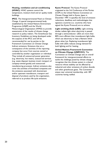#### **Heating, ventilation and air-conditioning (HVAC)**. HVAC systems control the temperature, moisture level and air quality inside buildings.

**IPCC**. The Intergovernmental Panel on Climate Change. A special intergovernmental body established by the United Nations Environment Programme (UNEP) and the World Meteorological Organisation (WMO) to provide assessments of the results of climate change research to policy makers. The Greenhouse Gas Inventory Guidelines are being developed under the auspices of the IPCC and will be recommended for use by parties to the Framework Convention on Climate Change. Indirect emissions. Emissions that are a consequence of the activities of the reporting company but occur from sources owned or controlled by another organisation or individual. They include all outsourced power generation (e.g. electricity, hot water), outsourced services (e.g. waste disposal, business travel, transport of company-owned goods) and outsourced manufacturing processes. Indirect emissions also cover the activities of franchised companies and the emissions associated with downstream and/or upstream manufacture, transport and disposal of products used by the organisation, referred to as product life-cycle emissions.

**Kyoto Protocol**. The Kyoto Protocol originated at the 3rd Conference of the Parties (COP) to the United Nations Convention on Climate Change held in Kyoto, Japan in December 1997. It specifies the level of emission reductions, deadlines and methodologies that signatory countries (i.e. countries who have signed the Kyoto Protocol) are to achieve.

**Light emitting diode (LED).** Light emitting diodes radiate light when electricity is passed through a semiconductor. LEDs are more than 80% more efficient than incandescent light bulbs, which use electricity to heat a filament which glows when hot. Replacing incandescent light bulbs with LEDs reduces energy demand for both lighting and for heating.

**United Nations Framework Convention on Climate Change (UNFCCC)**. The

Convention on Climate Change sets an overall framework for intergovernmental efforts to tackle the challenge posed by climate change. It recognizes that the climate system is a shared resource whose stability can be affected by industrial and other emissions of carbon dioxide and other greenhouse gases. The Convention enjoys near universal membership, with 189 countries having ratified.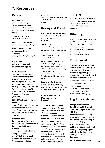# **7. Resources**

# **General**

#### **Business Link**

www.business link.gov.uk Extensive information on environmental management systems, policies, taxes and tax breaks.

**The Carbon Trust** www.carbontrust.co.uk

**Energy Savings Trust** www.energysavingtrust.org.uk

#### **Global Action Plan** -

environmental training for businesses. www.globalactionplan.org.uk

#### **Carbon measurement methodologies**

#### **GHG Protocol**

The GHG Protocol is the internationally recognised standard for corporate accounting and reporting of greenhouse gas emissions developed jointly by the World Resources Institute (WRI) and World Business Council for Sustainable Development (WBCSD).

#### **ISO14064-1 – Greenhouse gases**

A specification with guidance at the organisation level for quantification and reporting of greenhouse gas emissions and removals.

#### **Department of Environment, Food and Rural Affairs/Department of Energy and Climate Change**

In line with the UK Climate Change Act 2008, DEFRA/DECC have published guidance on emissions reporting for businesses including

guidance on what conversion factors to apply to the activities included within the carbon footprint.

# **Driving and Travel**

#### **AA Environmental Driving**

www.theaa.com/aattitude/drivin g-truths/environment/ index.jsp

**EcoDriving** www.ecodriving.com/eng/

#### **The Man in Seat Sixty-One**

- a site to help plan overland travel instead of flying. www.seat61.com

**The Transport Direct** includes useful planning information and free tools to add to websites for calculating travel emissions. www.transportdirect.info See also GHG Measurement below.

**Transport for London employee Travel Policy** www.tfl.gov.uk/assets/download s/.../travel-at-work-policy.pdf

#### **Environmental Management Systems**

**ISO14001** – Environmental Management System Provides a framework for the development of an environmental management system and the supporting audit programme.

**BS8555** – Building on BS EN ISO 14001 and the EU Eco-Management and Audit Scheme (EMAS), this British Standard provides guidance to all organisations on the phased implementation, maintenance and improvement of a formal Environmental Management

System (EMS).

**BS8901** is the British Standard that provides requirements for planning and managing sustainable events of all sizes and types.

# **Offsetting**

The UK Government has a new Quality Assurance Scheme for Carbon Offsetting. Find out more at Directgov http://tinyurl.com/y9am6b6 or Act on  $CO<sub>2</sub>$ http://tinyurl.com/ygvdzph

### **Procurement**

#### **Green Procurement Code**

For help with designing a green procurement policy and incorporating green specifications into bought or designed products or services. www. greenprocurementcode.co.uk

#### **Green Electricity Marketplace**

A site to find out more about green electricity tariffs. www.greenelectricity.org

## **Regulatory schemes**

#### **Energy Performance Certificates (EPCs) and Display Energy Certificates (DECs).**

Mandatory for any building being built, sold or rented, the EPC includes an A-G rating of the energy efficiency and carbon emissions of the building. DECs are required of buildings occupied by a public authority or institution and buildings more than 1,000m2 in floor area.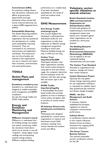#### **Commitment (CRC)**

An emissions trading scheme that will achieve reductions and affects all government departments and large businesses whose annual halfhourly metered electricity use is above 6,000 megawatt-hours (MWh).

#### **Sustainability Reporting**

The Global Reporting Initiative (GRI) is a network-based organisation that has pioneered the development of a widely used sustainability reporting framework. They are committed to its continuous improvement and application worldwide. This framework sets out the principles and indicators that organisations can use to measure and report their economic, environmental, and social performance.

# **TOOLS**

#### **Action Plans and management**

#### **Eventberry eventberry.com**

Eventberry is a web-based tool designed to enable sustainable event management and BS8901 compliance.

*See also Arts Energy Toolkit and DCMS Toolkit (below)*

#### **Energy and Emissions Monitoring and Management**

#### **SMEasure smeasure.org.uk**

SMEasure is a web-based tool for building energy use analysis and carbon monitoring. Unlike the calculators listed above which are an annual or one-off "snapshot". Using regular meter readings and incorporating weather-energy analysis, SMEasure analyses building

performance on a weekly basis. It has been developed specifically for the needs of small and medium-sized businesses.

#### **GHG Measurement**

#### **Arts Energy Toolkit artsenergy.org.uk**

Arts Council England has developed a self-assessment web-based toolkit for arts organisations to help them implement an effective energy management programme including an action plan. Measures building energy use only, in kWh but not  $CO<sub>2</sub>$ 

#### **Carbon Trust http://bit.ly/4yoQ0K**

Web-based calculator that helps organisations calculate their annual carbon footprint using data on fuel and vehicle usage, the company's electricity bill and employee travel. An indicator tool that uses energy bills and sector type is also available.

#### **DCMS Toolkit http://bit.ly/5ugUFg**

A downloadable documentbased toolkit that provides guidance on how to develop a carbon policy and gather data to produce an annual carbon footprint.

#### **IG (Industry Green) tools juliesbicycle.com/industrygreen**

Web-based tools designed specifically for creative sector organisations to measure and benchmark annual GHG emissions resulting from venues, festivals and outdoor events and offices.

#### **Voluntary, sectorspecific initiatives or awards schemes**

#### **British Standards Institute (BSI) and International Organisation for Standardisation (ISO)**  Provide both guidance for implementing an environmental management system (see below) and a standard against which organisations can be certified by a third party

#### **The Building Research Establishment's Environmental Assessment Methodology (BREEAM)**

assessor.

Can be applied to all nonresidential building refurbishments and new builds.

#### **The Carbon Trust Standard**

Awarded to organisations that measure, manage and reduce their carbon footprint.

#### **Carbon Disclosure Project**

Operates the only global climate change reporting system for any organisation wishing to, or requested to, publicly report their greenhouse gas emissions and climate change strategies.

#### **EMAS - the Eco-Management and Audit Scheme**

A voluntary initiative established by European regulation to improve companies' environmental performance.

#### **Industry Green**

A certification scheme tailored to the creative industries. Industry Green provides a framework for ongoing GHG emissions reductions.

#### **The Green Tourism Business Scheme**

The national sustainable tourism certification scheme  $for the IJK$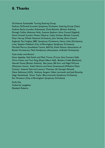# **8. Thanks**

Orchestras Sustainable Touring Steering Group

Kathryn McDowell (London Symphony Orchestra, Steering Group Chair), Andrew Burke (London Sinfonietta), David Butcher (Britten Sinfonia), Donagh Collins (Askonas Holt), Susanna Eastburn (Arts Council England), Simon Funnell (London Mozart Players), Cathy Graham (British Council), Peter Harrap (Welsh National Orchestra), John Hartley (Arts Council England), Paul Hughes (BBC Symphony Orchestra), Henry Little (Orchestras Live), Stephen Maddock (City of Birmingham Symphony Orchestra), Marshall Marcus (Southbank Centre, BACH), Keith Motson (Association of British Orchestras), Mark Pemberton (Association of British Orchestras)

#### Case study contributors

Kevin Appleby, Neil Smith and Mark Turner (Turner Sims Concert Hall), Chris Cotton and Tom King (Royal Albert Hall), Barbara Crabb (Barbican), Hannah Donat (Britten Sinfonia), Ben Jones, Bill Kerr and Nigel McCune (Musicians Union), Keith Nimmo and Anne Greenwood (Wiltshire Music Centre), Suzanne Rolt and Leonora Thomson (St George's Bristol), Diana Salthouse (LSO), Anthony Sargent, Helen Larmouth and Joeli Brearley (Sage Gateshead), Simon Taylor (Bournemouth Symphony Orchestra), Eva Wuestum (City of Birmingham Symphony Orchestra)

Emily Kay Catherine Langabeer Elizabeth Roberts